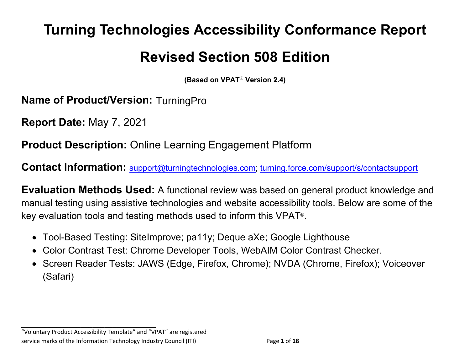# **Turning Technologies Accessibility Conformance Report Revised Section 508 Edition**

**(Based on VPAT**® **Version 2.4)**

**Name of Product/Version: TurningPro** 

**Report Date:** May 7, 2021

**Product Description:** Online Learning Engagement Platform

**Contact Information:** [support@turningtechnologies.com;](mailto:support@turningtechnologies.com) [turning.force.com/support/s/contactsupport](https://turning.force.com/support/s/contactsupport)

**Evaluation Methods Used:** A functional review was based on general product knowledge and manual testing using assistive technologies and website accessibility tools. Below are some of the key evaluation tools and testing methods used to inform this VPAT®.

- Tool-Based Testing: SiteImprove; pa11y; Deque aXe; Google Lighthouse
- Color Contrast Test: Chrome Developer Tools, WebAIM Color Contrast Checker.
- Screen Reader Tests: JAWS (Edge, Firefox, Chrome); NVDA (Chrome, Firefox); Voiceover (Safari)

"Voluntary Product Accessibility Template" and "VPAT" are registered service marks of the Information Technology Industry Council (ITI) Page **1** of **18**

**\_\_\_\_\_\_\_\_\_\_\_\_\_\_\_\_\_\_\_\_\_\_\_\_\_\_\_\_\_\_\_\_\_\_**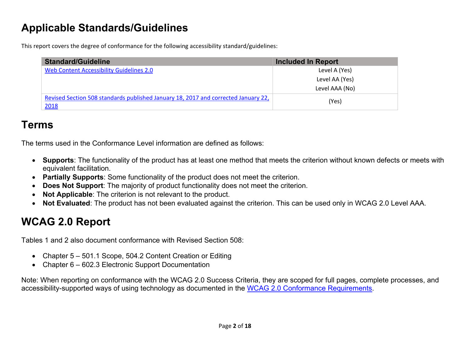## **Applicable Standards/Guidelines**

This report covers the degree of conformance for the following accessibility standard/guidelines:

| <b>Standard/Guideline</b>                                                                  | <b>Included In Report</b> |
|--------------------------------------------------------------------------------------------|---------------------------|
| Web Content Accessibility Guidelines 2.0                                                   | Level A (Yes)             |
|                                                                                            | Level AA (Yes)            |
|                                                                                            | Level AAA (No)            |
| Revised Section 508 standards published January 18, 2017 and corrected January 22,<br>2018 | (Yes)                     |

## **Terms**

The terms used in the Conformance Level information are defined as follows:

- **Supports**: The functionality of the product has at least one method that meets the criterion without known defects or meets with equivalent facilitation.
- **Partially Supports**: Some functionality of the product does not meet the criterion.
- **Does Not Support**: The majority of product functionality does not meet the criterion.
- **Not Applicable**: The criterion is not relevant to the product.
- **Not Evaluated**: The product has not been evaluated against the criterion. This can be used only in WCAG 2.0 Level AAA.

## **WCAG 2.0 Report**

Tables 1 and 2 also document conformance with Revised Section 508:

- Chapter 5 501.1 Scope, 504.2 Content Creation or Editing
- Chapter 6 602.3 Electronic Support Documentation

Note: When reporting on conformance with the WCAG 2.0 Success Criteria, they are scoped for full pages, complete processes, and accessibility-supported ways of using technology as documented in the [WCAG 2.0 Conformance Requirements.](https://www.w3.org/TR/WCAG20/#conformance-reqs)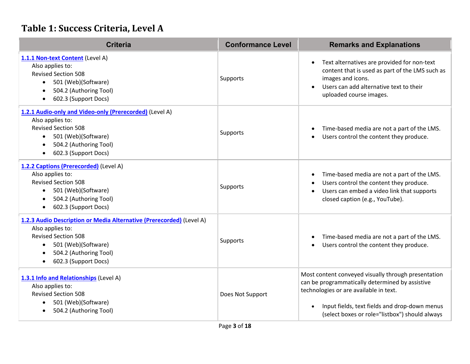### **Table 1: Success Criteria, Level A**

| <b>Criteria</b>                                                                                                                                                                                                                        | <b>Conformance Level</b> | <b>Remarks and Explanations</b>                                                                                                                                                                                                                     |
|----------------------------------------------------------------------------------------------------------------------------------------------------------------------------------------------------------------------------------------|--------------------------|-----------------------------------------------------------------------------------------------------------------------------------------------------------------------------------------------------------------------------------------------------|
| 1.1.1 Non-text Content (Level A)<br>Also applies to:<br><b>Revised Section 508</b><br>501 (Web)(Software)<br>$\bullet$<br>504.2 (Authoring Tool)<br>$\bullet$<br>602.3 (Support Docs)<br>$\bullet$                                     | Supports                 | Text alternatives are provided for non-text<br>content that is used as part of the LMS such as<br>images and icons.<br>Users can add alternative text to their<br>uploaded course images.                                                           |
| 1.2.1 Audio-only and Video-only (Prerecorded) (Level A)<br>Also applies to:<br><b>Revised Section 508</b><br>501 (Web)(Software)<br>$\bullet$<br>504.2 (Authoring Tool)<br>$\bullet$<br>602.3 (Support Docs)<br>$\bullet$              | Supports                 | Time-based media are not a part of the LMS.<br>$\bullet$<br>Users control the content they produce.<br>$\bullet$                                                                                                                                    |
| 1.2.2 Captions (Prerecorded) (Level A)<br>Also applies to:<br><b>Revised Section 508</b><br>501 (Web)(Software)<br>$\bullet$<br>504.2 (Authoring Tool)<br>$\bullet$<br>602.3 (Support Docs)<br>$\bullet$                               | Supports                 | Time-based media are not a part of the LMS.<br>$\bullet$<br>Users control the content they produce.<br>$\bullet$<br>Users can embed a video link that supports<br>$\bullet$<br>closed caption (e.g., YouTube).                                      |
| 1.2.3 Audio Description or Media Alternative (Prerecorded) (Level A)<br>Also applies to:<br><b>Revised Section 508</b><br>501 (Web)(Software)<br>$\bullet$<br>504.2 (Authoring Tool)<br>$\bullet$<br>602.3 (Support Docs)<br>$\bullet$ | Supports                 | Time-based media are not a part of the LMS.<br>Users control the content they produce.                                                                                                                                                              |
| 1.3.1 Info and Relationships (Level A)<br>Also applies to:<br><b>Revised Section 508</b><br>501 (Web)(Software)<br>$\bullet$<br>504.2 (Authoring Tool)<br>$\bullet$                                                                    | Does Not Support         | Most content conveyed visually through presentation<br>can be programmatically determined by assistive<br>technologies or are available in text.<br>Input fields, text fields and drop-down menus<br>(select boxes or role="listbox") should always |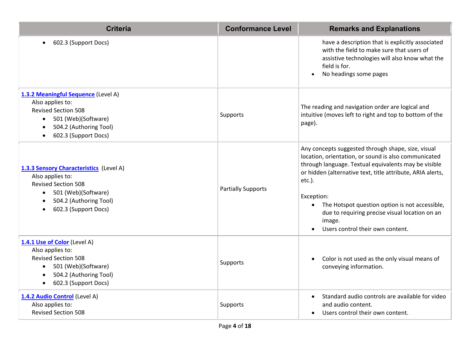| <b>Criteria</b>                                                                                                                                                                   | <b>Conformance Level</b>  | <b>Remarks and Explanations</b>                                                                                                                                                                                                                                                                                                                                                                               |
|-----------------------------------------------------------------------------------------------------------------------------------------------------------------------------------|---------------------------|---------------------------------------------------------------------------------------------------------------------------------------------------------------------------------------------------------------------------------------------------------------------------------------------------------------------------------------------------------------------------------------------------------------|
| 602.3 (Support Docs)<br>$\bullet$                                                                                                                                                 |                           | have a description that is explicitly associated<br>with the field to make sure that users of<br>assistive technologies will also know what the<br>field is for.<br>No headings some pages<br>$\bullet$                                                                                                                                                                                                       |
| 1.3.2 Meaningful Sequence (Level A)<br>Also applies to:<br><b>Revised Section 508</b><br>501 (Web)(Software)<br>504.2 (Authoring Tool)<br>602.3 (Support Docs)<br>$\bullet$       | Supports                  | The reading and navigation order are logical and<br>intuitive (moves left to right and top to bottom of the<br>page).                                                                                                                                                                                                                                                                                         |
| 1.3.3 Sensory Characteristics (Level A)<br>Also applies to:<br><b>Revised Section 508</b><br>501 (Web)(Software)<br>504.2 (Authoring Tool)<br>602.3 (Support Docs)                | <b>Partially Supports</b> | Any concepts suggested through shape, size, visual<br>location, orientation, or sound is also communicated<br>through language. Textual equivalents may be visible<br>or hidden (alternative text, title attribute, ARIA alerts,<br>$etc.$ ).<br>Exception:<br>The Hotspot question option is not accessible,<br>due to requiring precise visual location on an<br>image.<br>Users control their own content. |
| 1.4.1 Use of Color (Level A)<br>Also applies to:<br><b>Revised Section 508</b><br>501 (Web)(Software)<br>$\bullet$<br>504.2 (Authoring Tool)<br>602.3 (Support Docs)<br>$\bullet$ | Supports                  | Color is not used as the only visual means of<br>$\bullet$<br>conveying information.                                                                                                                                                                                                                                                                                                                          |
| 1.4.2 Audio Control (Level A)<br>Also applies to:<br><b>Revised Section 508</b>                                                                                                   | Supports                  | Standard audio controls are available for video<br>and audio content.<br>Users control their own content.                                                                                                                                                                                                                                                                                                     |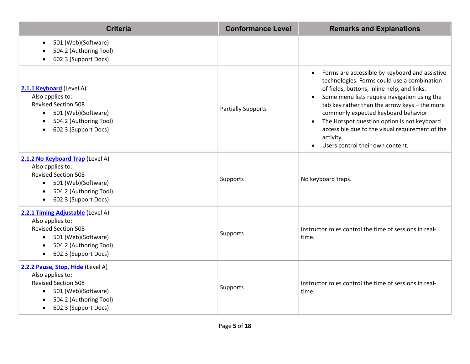| <b>Criteria</b>                                                                                                                                                                                    | <b>Conformance Level</b>  | <b>Remarks and Explanations</b>                                                                                                                                                                                                                                                                                                                                                                                                                                                 |  |
|----------------------------------------------------------------------------------------------------------------------------------------------------------------------------------------------------|---------------------------|---------------------------------------------------------------------------------------------------------------------------------------------------------------------------------------------------------------------------------------------------------------------------------------------------------------------------------------------------------------------------------------------------------------------------------------------------------------------------------|--|
| 501 (Web)(Software)<br>$\bullet$<br>504.2 (Authoring Tool)<br>602.3 (Support Docs)                                                                                                                 |                           |                                                                                                                                                                                                                                                                                                                                                                                                                                                                                 |  |
| 2.1.1 Keyboard (Level A)<br>Also applies to:<br><b>Revised Section 508</b><br>501 (Web)(Software)<br>$\bullet$<br>504.2 (Authoring Tool)<br>$\bullet$<br>602.3 (Support Docs)                      | <b>Partially Supports</b> | Forms are accessible by keyboard and assistive<br>technologies. Forms could use a combination<br>of fields, buttons, inline help, and links.<br>Some menu lists require navigation using the<br>$\bullet$<br>tab key rather than the arrow keys - the more<br>commonly expected keyboard behavior.<br>The Hotspot question option is not keyboard<br>$\bullet$<br>accessible due to the visual requirement of the<br>activity.<br>Users control their own content.<br>$\bullet$ |  |
| 2.1.2 No Keyboard Trap (Level A)<br>Also applies to:<br><b>Revised Section 508</b><br>501 (Web)(Software)<br>$\bullet$<br>504.2 (Authoring Tool)<br>$\bullet$<br>602.3 (Support Docs)<br>$\bullet$ | Supports                  | No keyboard traps.                                                                                                                                                                                                                                                                                                                                                                                                                                                              |  |
| 2.2.1 Timing Adjustable (Level A)<br>Also applies to:<br><b>Revised Section 508</b><br>501 (Web)(Software)<br>$\bullet$<br>504.2 (Authoring Tool)<br>602.3 (Support Docs)<br>$\bullet$             | Supports                  | Instructor roles control the time of sessions in real-<br>time.                                                                                                                                                                                                                                                                                                                                                                                                                 |  |
| 2.2.2 Pause, Stop, Hide (Level A)<br>Also applies to:<br><b>Revised Section 508</b><br>501 (Web)(Software)<br>504.2 (Authoring Tool)<br>$\bullet$<br>602.3 (Support Docs)                          | Supports                  | Instructor roles control the time of sessions in real-<br>time.                                                                                                                                                                                                                                                                                                                                                                                                                 |  |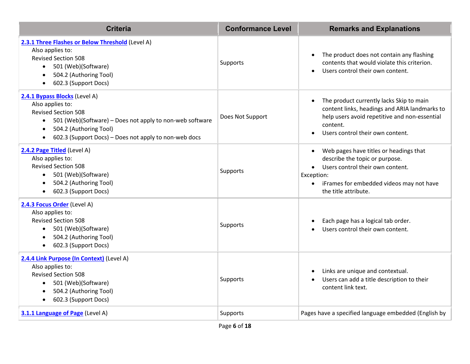| <b>Criteria</b>                                                                                                                                                                                                                             | <b>Conformance Level</b> | <b>Remarks and Explanations</b>                                                                                                                                                                                          |
|---------------------------------------------------------------------------------------------------------------------------------------------------------------------------------------------------------------------------------------------|--------------------------|--------------------------------------------------------------------------------------------------------------------------------------------------------------------------------------------------------------------------|
| 2.3.1 Three Flashes or Below Threshold (Level A)<br>Also applies to:<br><b>Revised Section 508</b><br>501 (Web)(Software)<br>$\bullet$<br>504.2 (Authoring Tool)<br>602.3 (Support Docs)<br>$\bullet$                                       | Supports                 | The product does not contain any flashing<br>$\bullet$<br>contents that would violate this criterion.<br>Users control their own content.<br>$\bullet$                                                                   |
| 2.4.1 Bypass Blocks (Level A)<br>Also applies to:<br><b>Revised Section 508</b><br>501 (Web)(Software) – Does not apply to non-web software<br>504.2 (Authoring Tool)<br>$\bullet$<br>602.3 (Support Docs) – Does not apply to non-web docs | Does Not Support         | The product currently lacks Skip to main<br>$\bullet$<br>content links, headings and ARIA landmarks to<br>help users avoid repetitive and non-essential<br>content.<br>Users control their own content.                  |
| 2.4.2 Page Titled (Level A)<br>Also applies to:<br><b>Revised Section 508</b><br>501 (Web)(Software)<br>$\bullet$<br>504.2 (Authoring Tool)<br>602.3 (Support Docs)<br>$\bullet$                                                            | Supports                 | Web pages have titles or headings that<br>describe the topic or purpose.<br>Users control their own content.<br>$\bullet$<br>Exception:<br>iFrames for embedded videos may not have<br>$\bullet$<br>the title attribute. |
| 2.4.3 Focus Order (Level A)<br>Also applies to:<br><b>Revised Section 508</b><br>501 (Web)(Software)<br>$\bullet$<br>504.2 (Authoring Tool)<br>$\bullet$<br>602.3 (Support Docs)                                                            | Supports                 | Each page has a logical tab order.<br>Users control their own content.                                                                                                                                                   |
| 2.4.4 Link Purpose (In Context) (Level A)<br>Also applies to:<br><b>Revised Section 508</b><br>501 (Web)(Software)<br>$\bullet$<br>504.2 (Authoring Tool)<br>602.3 (Support Docs)<br>$\bullet$                                              | Supports                 | Links are unique and contextual.<br>$\bullet$<br>Users can add a title description to their<br>$\bullet$<br>content link text.                                                                                           |
| 3.1.1 Language of Page (Level A)                                                                                                                                                                                                            | Supports                 | Pages have a specified language embedded (English by                                                                                                                                                                     |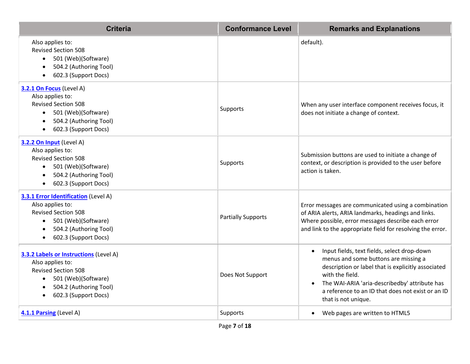| <b>Criteria</b>                                                                                                                                                                                          | <b>Conformance Level</b>  | <b>Remarks and Explanations</b>                                                                                                                                                                                                                                                                        |
|----------------------------------------------------------------------------------------------------------------------------------------------------------------------------------------------------------|---------------------------|--------------------------------------------------------------------------------------------------------------------------------------------------------------------------------------------------------------------------------------------------------------------------------------------------------|
| Also applies to:<br><b>Revised Section 508</b><br>501 (Web)(Software)<br>$\bullet$<br>504.2 (Authoring Tool)<br>$\bullet$<br>602.3 (Support Docs)<br>$\bullet$                                           |                           | default).                                                                                                                                                                                                                                                                                              |
| 3.2.1 On Focus (Level A)<br>Also applies to:<br><b>Revised Section 508</b><br>501 (Web)(Software)<br>$\bullet$<br>504.2 (Authoring Tool)<br>$\bullet$<br>602.3 (Support Docs)<br>$\bullet$               | Supports                  | When any user interface component receives focus, it<br>does not initiate a change of context.                                                                                                                                                                                                         |
| 3.2.2 On Input (Level A)<br>Also applies to:<br><b>Revised Section 508</b><br>501 (Web)(Software)<br>$\bullet$<br>504.2 (Authoring Tool)<br>$\bullet$<br>602.3 (Support Docs)<br>$\bullet$               | Supports                  | Submission buttons are used to initiate a change of<br>context, or description is provided to the user before<br>action is taken.                                                                                                                                                                      |
| 3.3.1 Error Identification (Level A)<br>Also applies to:<br><b>Revised Section 508</b><br>501 (Web)(Software)<br>$\bullet$<br>504.2 (Authoring Tool)<br>$\bullet$<br>602.3 (Support Docs)<br>$\bullet$   | <b>Partially Supports</b> | Error messages are communicated using a combination<br>of ARIA alerts, ARIA landmarks, headings and links.<br>Where possible, error messages describe each error<br>and link to the appropriate field for resolving the error.                                                                         |
| 3.3.2 Labels or Instructions (Level A)<br>Also applies to:<br><b>Revised Section 508</b><br>501 (Web)(Software)<br>$\bullet$<br>504.2 (Authoring Tool)<br>$\bullet$<br>602.3 (Support Docs)<br>$\bullet$ | Does Not Support          | Input fields, text fields, select drop-down<br>$\bullet$<br>menus and some buttons are missing a<br>description or label that is explicitly associated<br>with the field.<br>The WAI-ARIA 'aria-describedby' attribute has<br>a reference to an ID that does not exist or an ID<br>that is not unique. |
| 4.1.1 Parsing (Level A)                                                                                                                                                                                  | Supports                  | Web pages are written to HTML5                                                                                                                                                                                                                                                                         |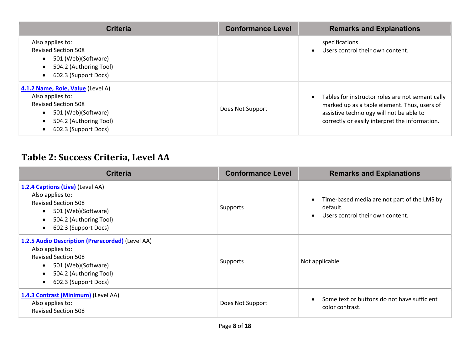| <b>Criteria</b>                                                                                                                                                           | <b>Conformance Level</b> | <b>Remarks and Explanations</b>                                                                                                                                                                |
|---------------------------------------------------------------------------------------------------------------------------------------------------------------------------|--------------------------|------------------------------------------------------------------------------------------------------------------------------------------------------------------------------------------------|
| Also applies to:<br><b>Revised Section 508</b><br>501 (Web)(Software)<br>$\bullet$<br>504.2 (Authoring Tool)<br>$\bullet$<br>602.3 (Support Docs)<br>$\bullet$            |                          | specifications.<br>Users control their own content.                                                                                                                                            |
| 4.1.2 Name, Role, Value (Level A)<br>Also applies to:<br><b>Revised Section 508</b><br>501 (Web)(Software)<br>$\bullet$<br>504.2 (Authoring Tool)<br>602.3 (Support Docs) | Does Not Support         | Tables for instructor roles are not semantically<br>marked up as a table element. Thus, users of<br>assistive technology will not be able to<br>correctly or easily interpret the information. |

### **Table 2: Success Criteria, Level AA**

| <b>Criteria</b>                                                                                                                                                                                                    | <b>Conformance Level</b> | <b>Remarks and Explanations</b>                                                             |
|--------------------------------------------------------------------------------------------------------------------------------------------------------------------------------------------------------------------|--------------------------|---------------------------------------------------------------------------------------------|
| 1.2.4 Captions (Live) (Level AA)<br>Also applies to:<br><b>Revised Section 508</b><br>501 (Web)(Software)<br>$\bullet$<br>504.2 (Authoring Tool)<br>$\bullet$<br>602.3 (Support Docs)<br>$\bullet$                 | Supports                 | Time-based media are not part of the LMS by<br>default.<br>Users control their own content. |
| 1.2.5 Audio Description (Prerecorded) (Level AA)<br>Also applies to:<br><b>Revised Section 508</b><br>501 (Web)(Software)<br>$\bullet$<br>504.2 (Authoring Tool)<br>$\bullet$<br>602.3 (Support Docs)<br>$\bullet$ | Supports                 | Not applicable.                                                                             |
| 1.4.3 Contrast (Minimum) (Level AA)<br>Also applies to:<br><b>Revised Section 508</b>                                                                                                                              | Does Not Support         | Some text or buttons do not have sufficient<br>color contrast.                              |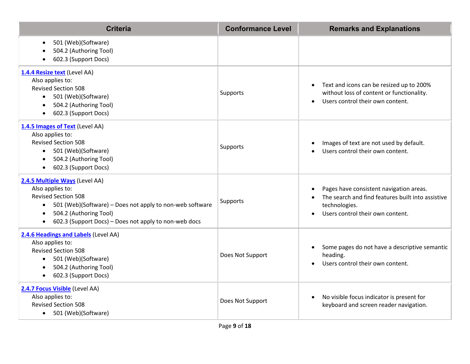| <b>Criteria</b>                                                                                                                                                                                                                              | <b>Conformance Level</b> | <b>Remarks and Explanations</b>                                                                                                                   |
|----------------------------------------------------------------------------------------------------------------------------------------------------------------------------------------------------------------------------------------------|--------------------------|---------------------------------------------------------------------------------------------------------------------------------------------------|
| 501 (Web)(Software)<br>$\bullet$<br>504.2 (Authoring Tool)<br>602.3 (Support Docs)                                                                                                                                                           |                          |                                                                                                                                                   |
| 1.4.4 Resize text (Level AA)<br>Also applies to:<br><b>Revised Section 508</b><br>501 (Web)(Software)<br>504.2 (Authoring Tool)<br>602.3 (Support Docs)                                                                                      | Supports                 | Text and icons can be resized up to 200%<br>without loss of content or functionality.<br>Users control their own content.                         |
| 1.4.5 Images of Text (Level AA)<br>Also applies to:<br><b>Revised Section 508</b><br>501 (Web)(Software)<br>504.2 (Authoring Tool)<br>602.3 (Support Docs)<br>$\bullet$                                                                      | Supports                 | Images of text are not used by default.<br>Users control their own content.                                                                       |
| 2.4.5 Multiple Ways (Level AA)<br>Also applies to:<br><b>Revised Section 508</b><br>501 (Web)(Software) - Does not apply to non-web software<br>504.2 (Authoring Tool)<br>$\bullet$<br>602.3 (Support Docs) - Does not apply to non-web docs | Supports                 | Pages have consistent navigation areas.<br>The search and find features built into assistive<br>technologies.<br>Users control their own content. |
| 2.4.6 Headings and Labels (Level AA)<br>Also applies to:<br><b>Revised Section 508</b><br>501 (Web)(Software)<br>$\bullet$<br>504.2 (Authoring Tool)<br>602.3 (Support Docs)                                                                 | Does Not Support         | Some pages do not have a descriptive semantic<br>$\bullet$<br>heading.<br>Users control their own content.                                        |
| 2.4.7 Focus Visible (Level AA)<br>Also applies to:<br><b>Revised Section 508</b><br>• 501 (Web)(Software)                                                                                                                                    | Does Not Support         | No visible focus indicator is present for<br>$\bullet$<br>keyboard and screen reader navigation.                                                  |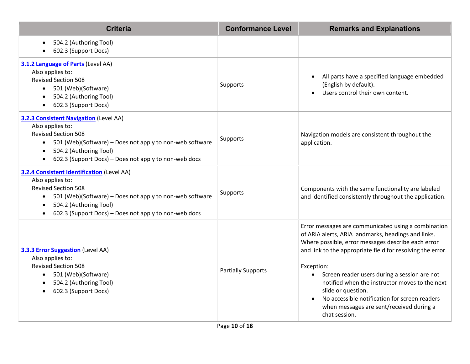| <b>Criteria</b>                                                                                                                                                                                                                                                                           | <b>Conformance Level</b>  | <b>Remarks and Explanations</b>                                                                                                                                                                                                                                                                                                                                                                                                                                                    |
|-------------------------------------------------------------------------------------------------------------------------------------------------------------------------------------------------------------------------------------------------------------------------------------------|---------------------------|------------------------------------------------------------------------------------------------------------------------------------------------------------------------------------------------------------------------------------------------------------------------------------------------------------------------------------------------------------------------------------------------------------------------------------------------------------------------------------|
| 504.2 (Authoring Tool)<br>$\bullet$<br>602.3 (Support Docs)<br>$\bullet$                                                                                                                                                                                                                  |                           |                                                                                                                                                                                                                                                                                                                                                                                                                                                                                    |
| 3.1.2 Language of Parts (Level AA)<br>Also applies to:<br><b>Revised Section 508</b><br>501 (Web)(Software)<br>$\bullet$<br>504.2 (Authoring Tool)<br>602.3 (Support Docs)<br>$\bullet$                                                                                                   | Supports                  | All parts have a specified language embedded<br>(English by default).<br>Users control their own content.                                                                                                                                                                                                                                                                                                                                                                          |
| <b>3.2.3 Consistent Navigation (Level AA)</b><br>Also applies to:<br><b>Revised Section 508</b><br>501 (Web)(Software) - Does not apply to non-web software<br>$\bullet$<br>504.2 (Authoring Tool)<br>$\bullet$<br>602.3 (Support Docs) – Does not apply to non-web docs<br>$\bullet$     | Supports                  | Navigation models are consistent throughout the<br>application.                                                                                                                                                                                                                                                                                                                                                                                                                    |
| <b>3.2.4 Consistent Identification (Level AA)</b><br>Also applies to:<br><b>Revised Section 508</b><br>501 (Web)(Software) - Does not apply to non-web software<br>$\bullet$<br>504.2 (Authoring Tool)<br>$\bullet$<br>602.3 (Support Docs) - Does not apply to non-web docs<br>$\bullet$ | Supports                  | Components with the same functionality are labeled<br>and identified consistently throughout the application.                                                                                                                                                                                                                                                                                                                                                                      |
| <b>3.3.3 Error Suggestion</b> (Level AA)<br>Also applies to:<br><b>Revised Section 508</b><br>• 501 (Web)(Software)<br>504.2 (Authoring Tool)<br>$\bullet$<br>602.3 (Support Docs)                                                                                                        | <b>Partially Supports</b> | Error messages are communicated using a combination<br>of ARIA alerts, ARIA landmarks, headings and links.<br>Where possible, error messages describe each error<br>and link to the appropriate field for resolving the error.<br>Exception:<br>Screen reader users during a session are not<br>notified when the instructor moves to the next<br>slide or question.<br>No accessible notification for screen readers<br>when messages are sent/received during a<br>chat session. |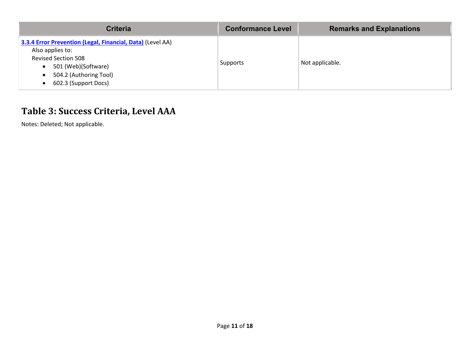| <b>Criteria</b>                                                                                                                                                                                                              | <b>Conformance Level</b> | <b>Remarks and Explanations</b> |
|------------------------------------------------------------------------------------------------------------------------------------------------------------------------------------------------------------------------------|--------------------------|---------------------------------|
| 3.3.4 Error Prevention (Legal, Financial, Data) (Level AA)<br>Also applies to:<br><b>Revised Section 508</b><br>501 (Web)(Software)<br>$\bullet$<br>504.2 (Authoring Tool)<br>$\bullet$<br>602.3 (Support Docs)<br>$\bullet$ | Supports                 | Not applicable.                 |

### **Table 3: Success Criteria, Level AAA**

Notes: Deleted; Not applicable.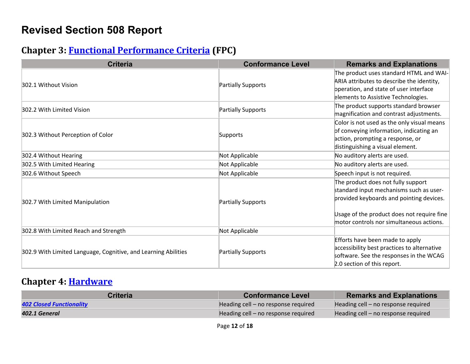## **Revised Section 508 Report**

#### **Chapter 3: [Functional Performance Criteria](https://www.access-board.gov/guidelines-and-standards/communications-and-it/about-the-ict-refresh/final-rule/text-of-the-standards-and-guidelines#302-functional-performance-criteria) (FPC)**

| <b>Criteria</b>                                                | <b>Conformance Level</b>  | <b>Remarks and Explanations</b>                                                                                                                                                                                     |
|----------------------------------------------------------------|---------------------------|---------------------------------------------------------------------------------------------------------------------------------------------------------------------------------------------------------------------|
| 302.1 Without Vision                                           | Partially Supports        | The product uses standard HTML and WAI-<br>ARIA attributes to describe the identity,<br>operation, and state of user interface<br>elements to Assistive Technologies.                                               |
| 302.2 With Limited Vision                                      | <b>Partially Supports</b> | The product supports standard browser<br>magnification and contrast adjustments.                                                                                                                                    |
| 302.3 Without Perception of Color                              | Supports                  | Color is not used as the only visual means<br>of conveying information, indicating an<br>action, prompting a response, or<br>distinguishing a visual element.                                                       |
| 302.4 Without Hearing                                          | Not Applicable            | No auditory alerts are used.                                                                                                                                                                                        |
| 302.5 With Limited Hearing                                     | Not Applicable            | No auditory alerts are used.                                                                                                                                                                                        |
| 302.6 Without Speech                                           | Not Applicable            | Speech input is not required.                                                                                                                                                                                       |
| 302.7 With Limited Manipulation                                | Partially Supports        | The product does not fully support<br>standard input mechanisms such as user-<br>provided keyboards and pointing devices.<br>Usage of the product does not require fine<br>motor controls nor simultaneous actions. |
| 302.8 With Limited Reach and Strength                          | Not Applicable            |                                                                                                                                                                                                                     |
| 302.9 With Limited Language, Cognitive, and Learning Abilities | <b>Partially Supports</b> | Efforts have been made to apply<br>accessibility best practices to alternative<br>software. See the responses in the WCAG<br>2.0 section of this report.                                                            |

#### **Chapter 4: [Hardware](https://www.access-board.gov/guidelines-and-standards/communications-and-it/about-the-ict-refresh/final-rule/text-of-the-standards-and-guidelines#401-general)**

| Criteria                 | <b>Conformance Level</b>            | <b>Remarks and Explanations</b>     |
|--------------------------|-------------------------------------|-------------------------------------|
| 402 Closed Functionality | Heading cell – no response required | Heading cell – no response required |
| 402.1 General            | Heading cell – no response required | Heading cell – no response required |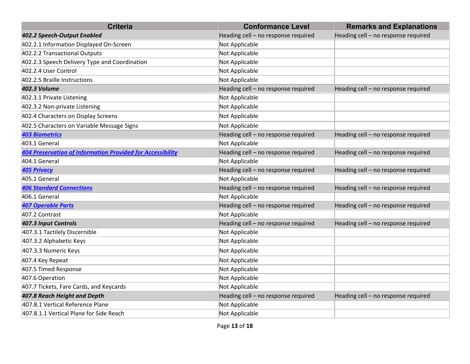| <b>Criteria</b>                                                   | <b>Conformance Level</b>            | <b>Remarks and Explanations</b>     |
|-------------------------------------------------------------------|-------------------------------------|-------------------------------------|
| 402.2 Speech-Output Enabled                                       | Heading cell - no response required | Heading cell - no response required |
| 402.2.1 Information Displayed On-Screen                           | Not Applicable                      |                                     |
| 402.2.2 Transactional Outputs                                     | Not Applicable                      |                                     |
| 402.2.3 Speech Delivery Type and Coordination                     | Not Applicable                      |                                     |
| 402.2.4 User Control                                              | Not Applicable                      |                                     |
| 402.2.5 Braille Instructions                                      | Not Applicable                      |                                     |
| <b>402.3 Volume</b>                                               | Heading cell - no response required | Heading cell - no response required |
| 402.3.1 Private Listening                                         | Not Applicable                      |                                     |
| 402.3.2 Non-private Listening                                     | Not Applicable                      |                                     |
| 402.4 Characters on Display Screens                               | Not Applicable                      |                                     |
| 402.5 Characters on Variable Message Signs                        | Not Applicable                      |                                     |
| <b>403 Biometrics</b>                                             | Heading cell - no response required | Heading cell - no response required |
| 403.1 General                                                     | Not Applicable                      |                                     |
| <b>404 Preservation of Information Provided for Accessibility</b> | Heading cell - no response required | Heading cell - no response required |
| 404.1 General                                                     | Not Applicable                      |                                     |
| <b>405 Privacy</b>                                                | Heading cell - no response required | Heading cell - no response required |
| 405.1 General                                                     | Not Applicable                      |                                     |
| <b>406 Standard Connections</b>                                   | Heading cell - no response required | Heading cell - no response required |
| 406.1 General                                                     | Not Applicable                      |                                     |
| <b>407 Operable Parts</b>                                         | Heading cell - no response required | Heading cell - no response required |
| 407.2 Contrast                                                    | Not Applicable                      |                                     |
| 407.3 Input Controls                                              | Heading cell - no response required | Heading cell - no response required |
| 407.3.1 Tactilely Discernible                                     | Not Applicable                      |                                     |
| 407.3.2 Alphabetic Keys                                           | Not Applicable                      |                                     |
| 407.3.3 Numeric Keys                                              | Not Applicable                      |                                     |
| 407.4 Key Repeat                                                  | Not Applicable                      |                                     |
| 407.5 Timed Response                                              | Not Applicable                      |                                     |
| 407.6 Operation                                                   | Not Applicable                      |                                     |
| 407.7 Tickets, Fare Cards, and Keycards                           | Not Applicable                      |                                     |
| 407.8 Reach Height and Depth                                      | Heading cell - no response required | Heading cell - no response required |
| 407.8.1 Vertical Reference Plane                                  | Not Applicable                      |                                     |
| 407.8.1.1 Vertical Plane for Side Reach                           | Not Applicable                      |                                     |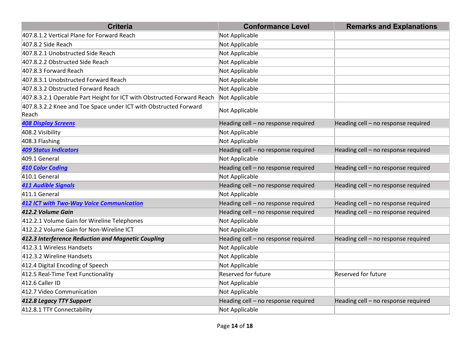| <b>Criteria</b>                                                           | <b>Conformance Level</b>            | <b>Remarks and Explanations</b>     |
|---------------------------------------------------------------------------|-------------------------------------|-------------------------------------|
| 407.8.1.2 Vertical Plane for Forward Reach                                | Not Applicable                      |                                     |
| 407.8.2 Side Reach                                                        | Not Applicable                      |                                     |
| 407.8.2.1 Unobstructed Side Reach                                         | Not Applicable                      |                                     |
| 407.8.2.2 Obstructed Side Reach                                           | Not Applicable                      |                                     |
| 407.8.3 Forward Reach                                                     | Not Applicable                      |                                     |
| 407.8.3.1 Unobstructed Forward Reach                                      | Not Applicable                      |                                     |
| 407.8.3.2 Obstructed Forward Reach                                        | Not Applicable                      |                                     |
| 407.8.3.2.1 Operable Part Height for ICT with Obstructed Forward Reach    | Not Applicable                      |                                     |
| 407.8.3.2.2 Knee and Toe Space under ICT with Obstructed Forward<br>Reach | Not Applicable                      |                                     |
| <b>408 Display Screens</b>                                                | Heading cell - no response required | Heading cell - no response required |
| 408.2 Visibility                                                          | Not Applicable                      |                                     |
| 408.3 Flashing                                                            | Not Applicable                      |                                     |
| <b>409 Status Indicators</b>                                              | Heading cell - no response required | Heading cell - no response required |
| 409.1 General                                                             | Not Applicable                      |                                     |
| <b>410 Color Coding</b>                                                   | Heading cell - no response required | Heading cell - no response required |
| 410.1 General                                                             | Not Applicable                      |                                     |
| <b>411 Audible Signals</b>                                                | Heading cell - no response required | Heading cell - no response required |
| 411.1 General                                                             | Not Applicable                      |                                     |
| <b>412 ICT with Two-Way Voice Communication</b>                           | Heading cell - no response required | Heading cell - no response required |
| 412.2 Volume Gain                                                         | Heading cell - no response required | Heading cell - no response required |
| 412.2.1 Volume Gain for Wireline Telephones                               | Not Applicable                      |                                     |
| 412.2.2 Volume Gain for Non-Wireline ICT                                  | Not Applicable                      |                                     |
| 412.3 Interference Reduction and Magnetic Coupling                        | Heading cell - no response required | Heading cell - no response required |
| 412.3.1 Wireless Handsets                                                 | Not Applicable                      |                                     |
| 412.3.2 Wireline Handsets                                                 | Not Applicable                      |                                     |
| 412.4 Digital Encoding of Speech                                          | Not Applicable                      |                                     |
| 412.5 Real-Time Text Functionality                                        | <b>Reserved for future</b>          | Reserved for future                 |
| 412.6 Caller ID                                                           | Not Applicable                      |                                     |
| 412.7 Video Communication                                                 | Not Applicable                      |                                     |
| 412.8 Legacy TTY Support                                                  | Heading cell - no response required | Heading cell - no response required |
| 412.8.1 TTY Connectability                                                | Not Applicable                      |                                     |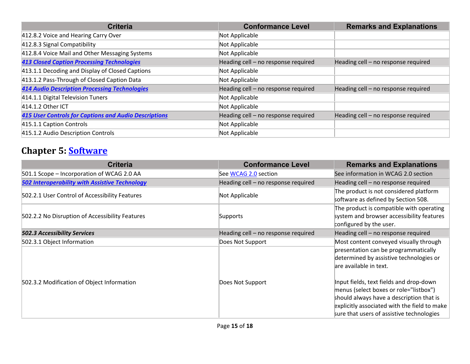| <b>Criteria</b>                                              | <b>Conformance Level</b>            | <b>Remarks and Explanations</b>     |
|--------------------------------------------------------------|-------------------------------------|-------------------------------------|
| 412.8.2 Voice and Hearing Carry Over                         | Not Applicable                      |                                     |
| 412.8.3 Signal Compatibility                                 | Not Applicable                      |                                     |
| 412.8.4 Voice Mail and Other Messaging Systems               | Not Applicable                      |                                     |
| <b>413 Closed Caption Processing Technologies</b>            | Heading cell - no response required | Heading cell - no response required |
| 413.1.1 Decoding and Display of Closed Captions              | Not Applicable                      |                                     |
| 413.1.2 Pass-Through of Closed Caption Data                  | Not Applicable                      |                                     |
| <b>414 Audio Description Processing Technologies</b>         | Heading cell - no response required | Heading cell - no response required |
| 414.1.1 Digital Television Tuners                            | Not Applicable                      |                                     |
| 414.1.2 Other ICT                                            | Not Applicable                      |                                     |
| <b>415 User Controls for Captions and Audio Descriptions</b> | Heading cell - no response required | Heading cell - no response required |
| 415.1.1 Caption Controls                                     | Not Applicable                      |                                     |
| 415.1.2 Audio Description Controls                           | Not Applicable                      |                                     |

## **Chapter 5: [Software](https://www.access-board.gov/guidelines-and-standards/communications-and-it/about-the-ict-refresh/final-rule/text-of-the-standards-and-guidelines#501-general)**

| <b>Criteria</b>                                       | <b>Conformance Level</b>            | <b>Remarks and Explanations</b>                                                                                                                                                                                            |
|-------------------------------------------------------|-------------------------------------|----------------------------------------------------------------------------------------------------------------------------------------------------------------------------------------------------------------------------|
| 501.1 Scope - Incorporation of WCAG 2.0 AA            | See WCAG 2.0 section                | See information in WCAG 2.0 section                                                                                                                                                                                        |
| <b>502 Interoperability with Assistive Technology</b> | Heading cell - no response required | Heading cell - no response required                                                                                                                                                                                        |
| 502.2.1 User Control of Accessibility Features        | Not Applicable                      | The product is not considered platform<br>software as defined by Section 508.                                                                                                                                              |
| 502.2.2 No Disruption of Accessibility Features       | Supports                            | The product is compatible with operating<br>system and browser accessibility features<br>configured by the user.                                                                                                           |
| <b>502.3 Accessibility Services</b>                   | Heading cell - no response required | Heading cell - no response required                                                                                                                                                                                        |
| 502.3.1 Object Information                            | Does Not Support                    | Most content conveyed visually through                                                                                                                                                                                     |
|                                                       |                                     | presentation can be programmatically<br>determined by assistive technologies or<br>are available in text.                                                                                                                  |
| 502.3.2 Modification of Object Information            | Does Not Support                    | Input fields, text fields and drop-down<br>menus (select boxes or role="listbox")<br>should always have a description that is<br>explicitly associated with the field to make<br>sure that users of assistive technologies |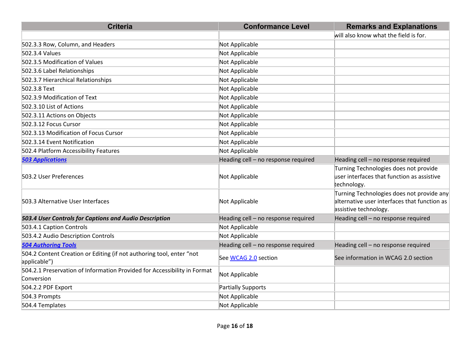| <b>Criteria</b>                                                                        | <b>Conformance Level</b>            | <b>Remarks and Explanations</b>                                                                                    |
|----------------------------------------------------------------------------------------|-------------------------------------|--------------------------------------------------------------------------------------------------------------------|
|                                                                                        |                                     | will also know what the field is for.                                                                              |
| 502.3.3 Row, Column, and Headers                                                       | Not Applicable                      |                                                                                                                    |
| 502.3.4 Values                                                                         | Not Applicable                      |                                                                                                                    |
| 502.3.5 Modification of Values                                                         | Not Applicable                      |                                                                                                                    |
| 502.3.6 Label Relationships                                                            | Not Applicable                      |                                                                                                                    |
| 502.3.7 Hierarchical Relationships                                                     | Not Applicable                      |                                                                                                                    |
| 502.3.8 Text                                                                           | Not Applicable                      |                                                                                                                    |
| 502.3.9 Modification of Text                                                           | Not Applicable                      |                                                                                                                    |
| 502.3.10 List of Actions                                                               | Not Applicable                      |                                                                                                                    |
| 502.3.11 Actions on Objects                                                            | Not Applicable                      |                                                                                                                    |
| 502.3.12 Focus Cursor                                                                  | Not Applicable                      |                                                                                                                    |
| 502.3.13 Modification of Focus Cursor                                                  | Not Applicable                      |                                                                                                                    |
| 502.3.14 Event Notification                                                            | Not Applicable                      |                                                                                                                    |
| 502.4 Platform Accessibility Features                                                  | Not Applicable                      |                                                                                                                    |
| <b>503 Applications</b>                                                                | Heading cell - no response required | Heading cell - no response required                                                                                |
| 503.2 User Preferences                                                                 | Not Applicable                      | Turning Technologies does not provide<br>$\mu$ ser interfaces that function as assistive<br>technology.            |
| 503.3 Alternative User Interfaces                                                      | Not Applicable                      | Turning Technologies does not provide any<br>alternative user interfaces that function as<br>assistive technology. |
| 503.4 User Controls for Captions and Audio Description                                 | Heading cell - no response required | Heading cell - no response required                                                                                |
| 503.4.1 Caption Controls                                                               | Not Applicable                      |                                                                                                                    |
| 503.4.2 Audio Description Controls                                                     | Not Applicable                      |                                                                                                                    |
| <b>504 Authoring Tools</b>                                                             | Heading cell - no response required | Heading cell - no response required                                                                                |
| 504.2 Content Creation or Editing (if not authoring tool, enter "not<br>applicable")   | See WCAG 2.0 section                | See information in WCAG 2.0 section                                                                                |
| 504.2.1 Preservation of Information Provided for Accessibility in Format<br>Conversion | Not Applicable                      |                                                                                                                    |
| 504.2.2 PDF Export                                                                     | Partially Supports                  |                                                                                                                    |
| 504.3 Prompts                                                                          | Not Applicable                      |                                                                                                                    |
| 504.4 Templates                                                                        | Not Applicable                      |                                                                                                                    |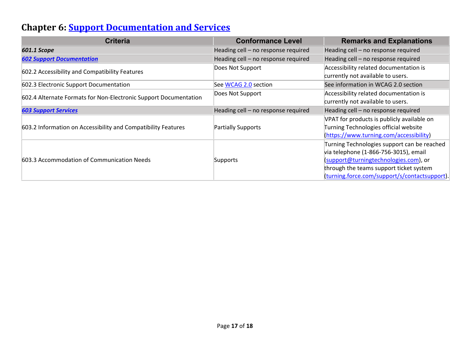### **Chapter 6: [Support Documentation and Services](https://www.access-board.gov/guidelines-and-standards/communications-and-it/about-the-ict-refresh/final-rule/text-of-the-standards-and-guidelines#601-general)**

| <b>Criteria</b>                                                  | <b>Conformance Level</b>            | <b>Remarks and Explanations</b>               |
|------------------------------------------------------------------|-------------------------------------|-----------------------------------------------|
| 601.1 Scope                                                      | Heading cell - no response required | Heading cell - no response required           |
| <b>602 Support Documentation</b>                                 | Heading cell - no response required | Heading cell - no response required           |
| 602.2 Accessibility and Compatibility Features                   | Does Not Support                    | Accessibility related documentation is        |
|                                                                  |                                     | currently not available to users.             |
| 602.3 Electronic Support Documentation                           | See WCAG 2.0 section                | See information in WCAG 2.0 section           |
| 602.4 Alternate Formats for Non-Electronic Support Documentation | Does Not Support                    | Accessibility related documentation is        |
|                                                                  |                                     | currently not available to users.             |
| <b>603 Support Services</b>                                      | Heading cell - no response required | Heading cell - no response required           |
| 603.2 Information on Accessibility and Compatibility Features    |                                     | VPAT for products is publicly available on    |
|                                                                  | <b>Partially Supports</b>           | Turning Technologies official website         |
|                                                                  |                                     | (https://www.turning.com/accessibility)       |
| 603.3 Accommodation of Communication Needs                       | Supports                            | Turning Technologies support can be reached   |
|                                                                  |                                     | via telephone (1-866-756-3015), email         |
|                                                                  |                                     | (support@turningtechnologies.com), or         |
|                                                                  |                                     | through the teams support ticket system       |
|                                                                  |                                     | (turning.force.com/support/s/contactsupport). |